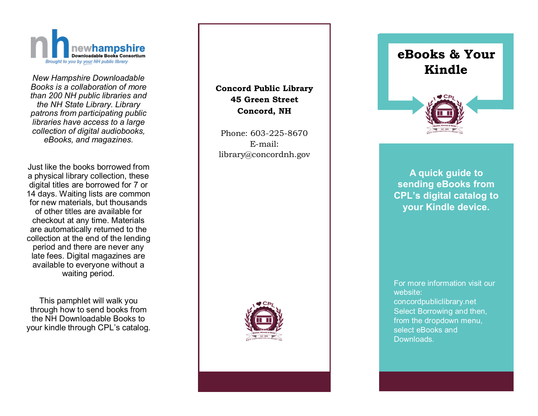

*New Hampshire Downloadable Books is a collaboration of more than 200 NH public libraries and the NH State Library. Library patrons from participating public libraries have access to a large collection of digital audiobooks, eBooks, and magazines.*

Just like the books borrowed from a physical library collection, these digital titles are borrowed for 7 or 14 days. Waiting lists are common for new materials, but thousands of other titles are available for checkout at any time. Materials are automatically returned to the collection at the end of the lending period and there are never any late fees. Digital magazines are available to everyone without a waiting period.

This pamphlet will walk you through how to send books from the NH Downloadable Books to your kindle through CPL 's catalog.

## **Concord Public Library 45 Green Street Concord, NH**

Phone: 603 -225 -8670 E -mail: library@concordnh.gov



# **eBooks & Your Kindle**



**A quick guide to sending eBooks from CPL 's digital catalog to your Kindle device.**

For more information visit our website: concordpubliclibrary.net Select Borrowing and then, from the dropdown menu, select eBooks and Downloads.